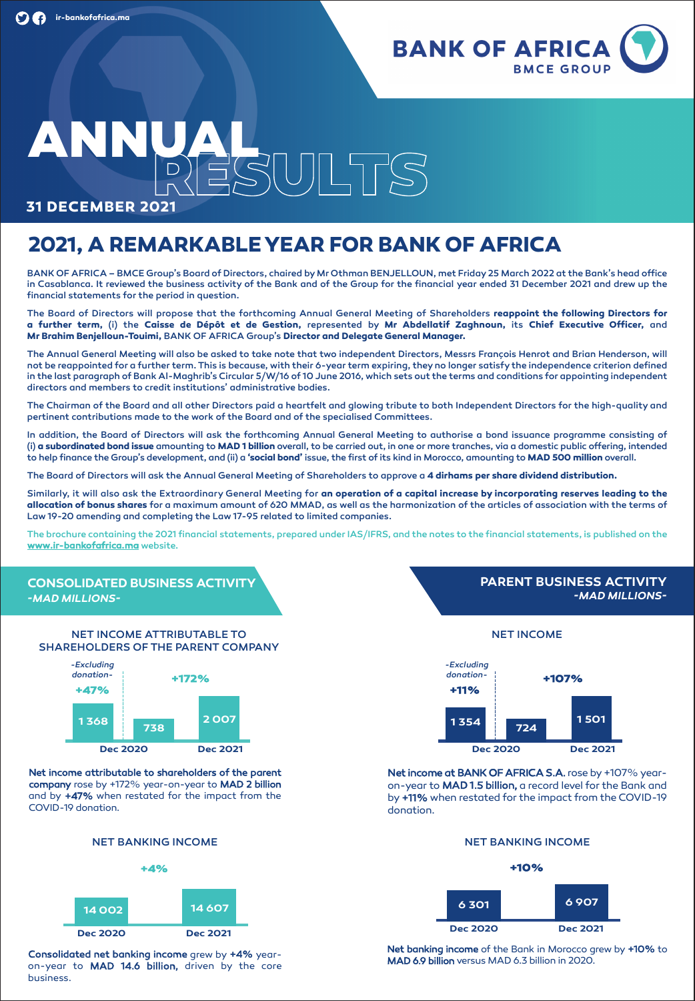

# **ANNUAL**

**31 DECEMBER 2021**

## **2021, A REMARKABLEYEAR FOR BANK OF AFRICA**

BANK OF AFRICA – BMCE Group's Board of Directors, chaired byMr Othman BENJELLOUN, met Friday25 March 2022 at the Bank's head office in Casablanca. It reviewed the business activity of the Bank and of the Group for the financial year ended 31 December 2021 and drew up the financial statements for the period in question.

The Board of Directors will propose that the forthcoming Annual General Meeting of Shareholders **reappoint the following Directors for** a further term, (i) the Caisse de Dépôt et de Gestion, represented by Mr Abdellatif Zaghnoun, its Chief Executive Officer, and **Mr Brahim Benjelloun-Touimi,** BANK OF AFRICA Group's **Director and Delegate General Manager.**

The Annual General Meeting will also be asked to take note that two independent Directors, Messrs François Henrot and Brian Henderson, will not be reappointed for a further term.This is because, with their 6-year term expiring, theyno longer satisfythe independence criterion defined in the last paragraph of Bank Al-Maghrib's Circular 5/W/16 of 10 June 2016, which sets out the terms and conditions for appointing independent directors and members to credit institutions' administrative bodies.

The Chairman of the Board and all other Directors paid a heartfelt and glowing tribute to both Independent Directors for the high-quality and pertinent contributions made to the work of the Board and of the specialised Committees.

In addition, the Board of Directors will ask the forthcoming Annual General Meeting to authorise a bond issuance programme consisting of (i) **a subordinated bond issue** amounting to **MAD 1 billion** overall, to be carried out, in one or more tranches, via a domestic public offering, intended to help finance the Group's development, and (ii) a **'social bond'** issue, the first of its kind in Morocco, amounting to **MAD 500 million** overall.

The Board of Directors will ask the Annual General Meeting of Shareholders to approve a **4 dirhams per share dividend distribution.**

Similarly, it will also ask the Extraordinary General Meeting for an operation of a capital increase by incorporating reserves leading to the **allocation of bonus shares** for a maximum amount of 620 MMAD, as well as the harmonization of the articles of association with the terms of Law 19-20 amending and completing the Law 17-95 related to limited companies.

The brochure containing the 2021 financial statements, prepared under IAS/IFRS, and the notes to the financial statements, is published on the **www.ir-bankofafrica.ma** website.



NET INCOME ATTRIBUTABLE TO SHAREHOLDERS OF THE PARENT COMPANY



**Net income attributable to shareholders of the parent company** rose by +172% year-on-year to **MAD 2 billion** and by **+47%** when restated for the impact from the COVID-19 donation.

#### NET BANKING INCOME



**Consolidated net banking income** grew by **+4%** yearon-year to **MAD 14.6 billion,** driven by the core business.



**Dec 2020 Dec 2021**

Net income at BANK OF AFRICA S.A. rose by +107% yearon-year to **MAD 1.5 billion,** a record level for the Bank and by**+11%** when restated for the impact from the COVID-19 donation.

#### NET BANKING INCOME





**Net banking income** of the Bank in Morocco grew by **+10%** to **MAD 6.9 billion** versus MAD 6.3 billion in 2020.

### **PARENT BUSINESS ACTIVITY** *-MAD MILLIONS-*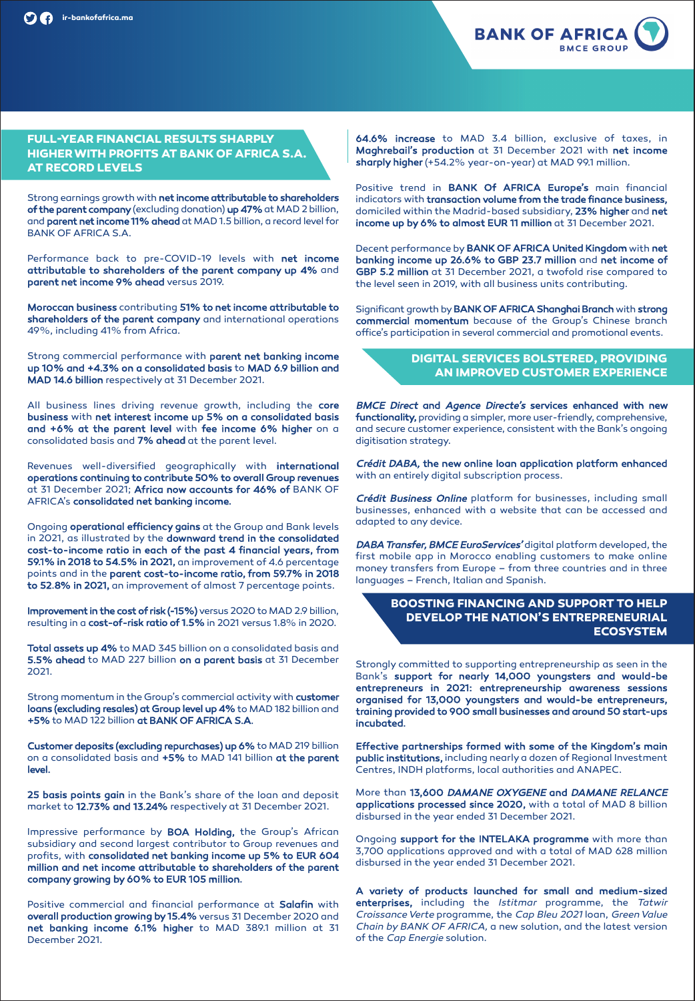

#### **FULL-YEAR FINANCIAL RESULTS SHARPLY HIGHERWITH PROFITS AT BANK OF AFRICA S.A. AT RECORD LEVELS**

Strong earnings growth with **net income attributable to shareholders of the parent company**(excluding donation) **up 47%**at MAD 2 billion, and **parent net income 11% ahead** at MAD 1.5 billion, a record level for BANK OF AFRICA S.A.

Performance back to pre-COVID-19 levels with **net income attributable to shareholders of the parent company up 4%** and **parent net income 9% ahead** versus 2019.

**Moroccan business** contributing **51% to net income attributable to shareholders of the parent company** and international operations 49%, including 41% from Africa.

Strong commercial performance with **parent net banking income up 10% and +4.3% on a consolidated basis** to **MAD 6.9 billion and MAD 14.6 billion** respectively at 31 December 2021.

All business lines driving revenue growth, including the **core business** with **net interest income up 5% on a consolidated basis and +6% at the parent level** with **fee income 6% higher** on a consolidated basis and **7% ahead** at the parent level.

Revenues well-diversified geographically with **international operations continuing to contribute 50% to overall Group revenues** at 31 December 2021; **Africa now accounts for 46% of** BANK OF AFRICA's **consolidated net banking income.**

Ongoing **operational efficiency gains** at the Group and Bank levels in 2021, as illustrated by the **downward trend in the consolidated cost-to-income ratio in each of the past 4 financial years, from 59.1% in 2018 to 54.5% in 2021,** an improvement of 4.6 percentage points and in the **parent cost-to-income ratio, from 59.7% in 2018 to 52.8% in 2021,** an improvement of almost 7 percentage points.

**Improvement in the cost of risk (-15%)** versus 2020 to MAD 2.9 billion, resulting in a **cost-of-risk ratio of 1.5%** in 2021 versus 1.8% in 2020.

**Total assets up 4%** to MAD 345 billion on a consolidated basis and **5.5% ahead** to MAD 227 billion **on a parent basis** at 31 December 2021.

Strong momentum in the Group's commercial activity with **customer loans (excluding resales) at Group level up 4%**to MAD 182 billion and **+5%** to MAD 122 billion **at BANK OF AFRICA S.A.**

**Customer deposits (excluding repurchases) up 6%** to MAD 219 billion on a consolidated basis and **+5%** to MAD 141 billion **at the parent level.**

**25 basis points gain** in the Bank's share of the loan and deposit market to **12.73% and 13.24%** respectively at 31 December 2021.

Impressive performance by **BOA Holding,** the Group's African subsidiary and second largest contributor to Group revenues and profits, with **consolidated net banking income up 5% to EUR 604 million and net income attributable to shareholders of the parent company growing by 60% to EUR 105 million.**

Positive commercial and financial performance at **Salafin** with **overall production growing by 15.4%** versus 31 December 2020 and **net banking income 6.1% higher** to MAD 389.1 million at 31 December 2021.

**64.6% increase** to MAD 3.4 billion, exclusive of taxes, in **Maghrebail's production** at 31 December 2021 with **net income sharply higher** (+54.2% year-on-year) at MAD 99.1 million.

Positive trend in **BANK Of AFRICA Europe's** main financial indicators with **transaction volume from the trade finance business,** domiciled within the Madrid-based subsidiary, **23% higher** and **net income up by 6% to almost EUR 11 million** at 31 December 2021.

Decent performance by**BANK OF AFRICA United Kingdom** with **net banking income up 26.6% to GBP 23.7 million** and **net income of GBP 5.2 million** at 31 December 2021, a twofold rise compared to the level seen in 2019, with all business units contributing.

Significant growth by**BANK OF AFRICA Shanghai Branch** with **strong commercial momentum** because of the Group's Chinese branch office's participation in several commercial and promotional events.

#### **DIGITAL SERVICES BOLSTERED, PROVIDING AN IMPROVED CUSTOMER EXPERIENCE**

BMCE Direct **and** Agence Directe's **services enhanced with new functionality,** providing a simpler, more user-friendly, comprehensive, and secure customer experience, consistent with the Bank's ongoing digitisation strategy.

Crédit DABA, **the new online loan application platform enhanced** with an entirely digital subscription process.

Crédit Business Online platform for businesses, including small businesses, enhanced with a website that can be accessed and adapted to any device.

DABA Transfer, BMCE EuroServices' digital platform developed, the first mobile app in Morocco enabling customers to make online money transfers from Europe – from three countries and in three languages – French, Italian and Spanish.

#### **BOOSTING FINANCING AND SUPPORT TO HELP DEVELOP THE NATION'S ENTREPRENEURIAL ECOSYSTEM**

Strongly committed to supporting entrepreneurship as seen in the Bank's **support for nearly 14,000 youngsters and would-be entrepreneurs in 2021: entrepreneurship awareness sessions organised for 13,000 youngsters and would-be entrepreneurs, training provided to 900 small businesses and around 50 start-ups incubated.**

**Effective partnerships formed with some of the Kingdom's main public institutions,** including nearly a dozen of Regional Investment Centres, INDH platforms, local authorities and ANAPEC.

More than **13,600** DAMANE OXYGENE **and** DAMANE RELANCE **applications processed since 2020,** with a total of MAD 8 billion disbursed in the year ended 31 December 2021.

Ongoing **support for the INTELAKA programme** with more than 3,700 applications approved and with a total of MAD 628 million disbursed in the year ended 31 December 2021.

**A variety of products launched for small and medium-sized enterprises,** including the **Istitmar** programme, the **Tatwir CroissanceVerte** programme, the **Cap Bleu 2021** loan, **GreenValue Chain by BANK OF AFRICA,** a new solution, and the latest version of the **Cap Energie** solution.